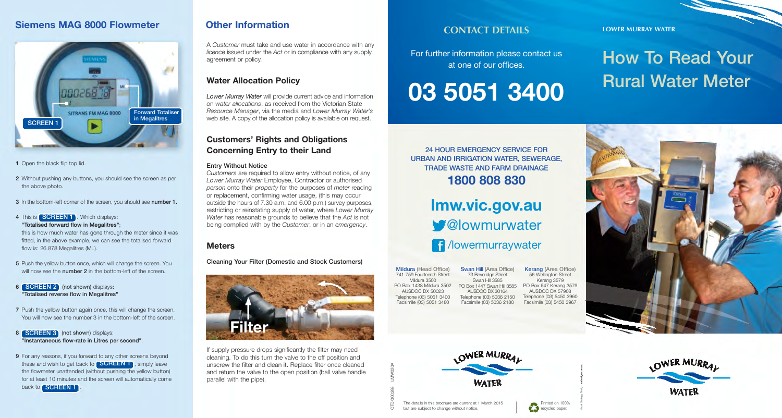# **Siemens MAG 8000 Flowmeter**



#### 1 Open the black flip top lid.

- 2 Without pushing any buttons, you should see the screen as per the above photo.
- 3 In the bottom-left corner of the screen, you should see number 1.

#### 4 This is **SCREEN 1** . Which displays: "Totalised forward flow in Megalitres";

this is how much water has gone through the meter since it was fitted, in the above example, we can see the totalised forward flow is: 26.878 Megalitres (ML).

- 5 Push the yellow button once, which will change the screen. You will now see the **number 2** in the bottom-left of the screen.
- 6 **SCREEN 2** (not shown) displays: "Totalised reverse flow in Megalitres"
- 7 Push the yellow button again once, this will change the screen. You will now see the number 3 in the bottom-left of the screen.

#### 8 **SCREEN 3** (not shown) displays: "Instantaneous flow-rate in Litres per second";

9 For any reasons, if you forward to any other screens beyond these and wish to get back to **SCREEN 1**, simply leave the flowmeter unattended (without pushing the yellow button) for at least 10 minutes and the screen will automatically come back to **SCREEN 1** 

# **Other Information**

A *Customer* must take and use water in accordance with any *licence* issued under the *Act* or in compliance with any supply agreement or policy.

## **Water Allocation Policy**

*Lower Murray Water* will provide current advice and information on *water allocations*, as received from the Victorian State *Resource Manager*, via the media and *Lower Murray Water's* web site. A copy of the allocation policy is available on request.

## **Customers' Rights and Obligations Concerning Entry to their Land**

#### Entry Without Notice

*Customers* are required to allow entry without notice, of any *Lower Murray Water* Employee, Contractor or authorised *person* onto their *property* for the purposes of *meter* reading or replacement, confirming water usage, (this may occur outside the hours of 7.30 a.m. and 6.00 p.m.) survey purposes, restricting or reinstating supply of water, where *Lower Murray Water* has reasonable grounds to believe that the *Act* is not being complied with by the *Customer*, or in an *emergency*.

## **Meters**

Cleaning Your Filter (Domestic and Stock Customers)



If supply pressure drops significantly the filter may need cleaning. To do this turn the valve to the off position and unscrew the filter and clean it. Replace filter once cleaned and return the valve to the open position (ball valve handle parallel with the pipe).

# **CONTACT DETAILS** LOWER MURRAY WATER

For further information please contact us at one of our offices.

**03 5051 3400**

How To Read Your Rural Water Meter

24 HOUR EMERGENCY SERVICE FOR URBAN AND IRRIGATION WATER, SEWERAGE, TRADE WASTE AND FARM DRAINAGE **1800 808 830**

> **lmw.vic.gov.au W**Olowmurwater *f* /lowermurraywater

Swan Hill (Area Office) 73 Beveridge Street Swan Hill 3585 PO Box 1438 Mildura 3502 PO Box 1447 Swan Hill 3585 AUSDOC DX 30164 Telephone (03) 5036 2150 Facsimile (03) 5036 2180 Kerang (Area Office) 56 Wellington Street Kerang 3579 PO Box 547 Kerang 3579 AUSDOC DX 57908 Telephone (03) 5450 3960 Facsimile (03) 5450 3967 Mildura (Head Office) 741-759 Fourteenth Street Mildura 3500 AUSDOC DX 50023 Telephone (03) 5051 3400 Facsimile (03) 5051 3480





Printed on 100% Printed on 100

Visual Strategy Design **vsdesign.com.au**



The details in this brochure are current at 1 March 2015 but are subject to change without notice.

CTD/000398 LMW020A